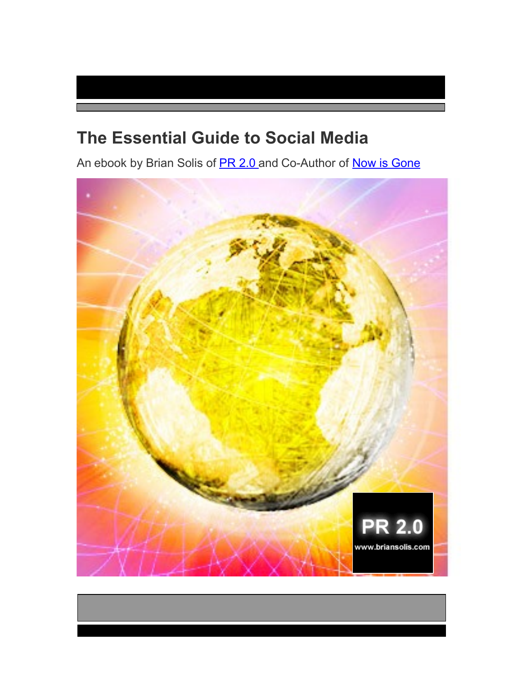# **The Essential Guide to Social Media**

An ebook by Brian Solis of **[PR 2.0](http://www.briansolis.com/)** and Co-Author of **Now is Gone** 

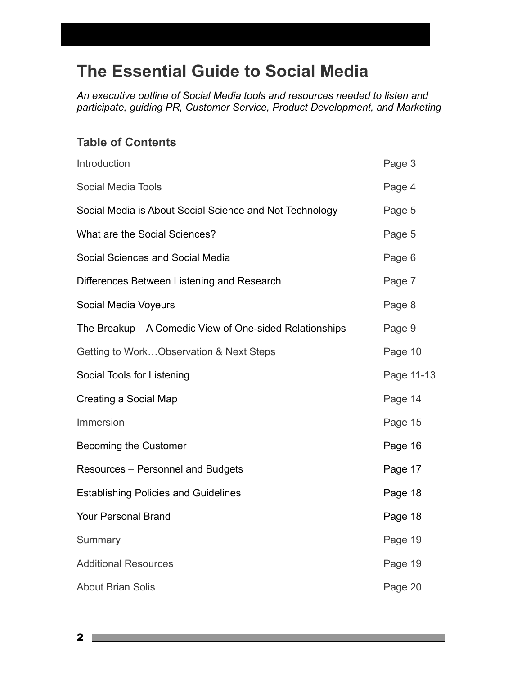# **The Essential Guide to Social Media**

*An executive outline of Social Media tools and resources needed to listen and participate, guiding PR, Customer Service, Product Development, and Marketing*

## **Table of Contents**

| Introduction                                            | Page 3     |
|---------------------------------------------------------|------------|
| Social Media Tools                                      | Page 4     |
| Social Media is About Social Science and Not Technology | Page 5     |
| What are the Social Sciences?                           | Page 5     |
| Social Sciences and Social Media                        | Page 6     |
| Differences Between Listening and Research              | Page 7     |
| Social Media Voyeurs                                    | Page 8     |
| The Breakup – A Comedic View of One-sided Relationships | Page 9     |
| Getting to WorkObservation & Next Steps                 | Page 10    |
| Social Tools for Listening                              | Page 11-13 |
| Creating a Social Map                                   | Page 14    |
| Immersion                                               | Page 15    |
| <b>Becoming the Customer</b>                            | Page 16    |
| Resources - Personnel and Budgets                       | Page 17    |
| <b>Establishing Policies and Guidelines</b>             | Page 18    |
| <b>Your Personal Brand</b>                              | Page 18    |
| Summary                                                 | Page 19    |
| <b>Additional Resources</b>                             | Page 19    |
| <b>About Brian Solis</b>                                | Page 20    |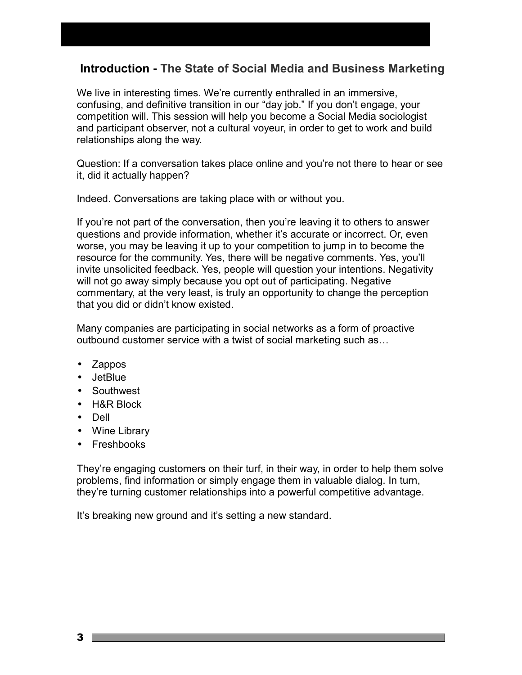## **Introduction - The State of Social Media and Business Marketing**

We live in interesting times. We're currently enthralled in an immersive, confusing, and definitive transition in our "day job." If you don't engage, your competition will. This session will help you become a Social Media sociologist and participant observer, not a cultural voyeur, in order to get to work and build relationships along the way.

Question: If a conversation takes place online and you're not there to hear or see it, did it actually happen?

Indeed. Conversations are taking place with or without you.

If you're not part of the conversation, then you're leaving it to others to answer questions and provide information, whether it's accurate or incorrect. Or, even worse, you may be leaving it up to your competition to jump in to become the resource for the community. Yes, there will be negative comments. Yes, you'll invite unsolicited feedback. Yes, people will question your intentions. Negativity will not go away simply because you opt out of participating. Negative commentary, at the very least, is truly an opportunity to change the perception that you did or didn't know existed.

Many companies are participating in social networks as a form of proactive outbound customer service with a twist of social marketing such as…

- Zappos
- JetBlue
- Southwest
- H&R Block
- Dell
- Wine Library
- Freshbooks

They're engaging customers on their turf, in their way, in order to help them solve problems, find information or simply engage them in valuable dialog. In turn, they're turning customer relationships into a powerful competitive advantage.

It's breaking new ground and it's setting a new standard.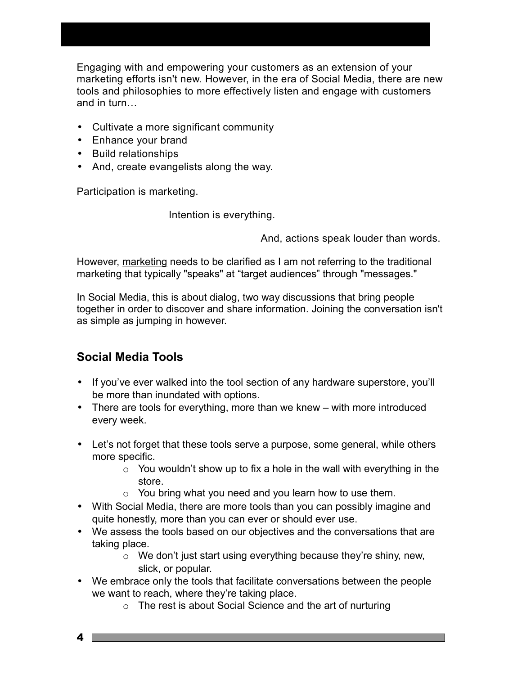Engaging with and empowering your customers as an extension of your marketing efforts isn't new. However, in the era of Social Media, there are new tools and philosophies to more effectively listen and engage with customers and in turn…

- Cultivate a more significant community
- Enhance your brand
- Build relationships
- And, create evangelists along the way.

Participation is marketing.

Intention is everything.

And, actions speak louder than words.

However, marketing needs to be clarified as I am not referring to the traditional marketing that typically "speaks" at "target audiences" through "messages."

In Social Media, this is about dialog, two way discussions that bring people together in order to discover and share information. Joining the conversation isn't as simple as jumping in however.

## **Social Media Tools**

- If you've ever walked into the tool section of any hardware superstore, you'll be more than inundated with options.
- There are tools for everything, more than we knew with more introduced every week.
- Let's not forget that these tools serve a purpose, some general, while others more specific.
	- $\circ$  You wouldn't show up to fix a hole in the wall with everything in the store.
	- $\circ$  You bring what you need and you learn how to use them.
- With Social Media, there are more tools than you can possibly imagine and quite honestly, more than you can ever or should ever use.
- We assess the tools based on our objectives and the conversations that are taking place.
	- o We don't just start using everything because they're shiny, new, slick, or popular.
- We embrace only the tools that facilitate conversations between the people we want to reach, where they're taking place.
	- o The rest is about Social Science and the art of nurturing

4 F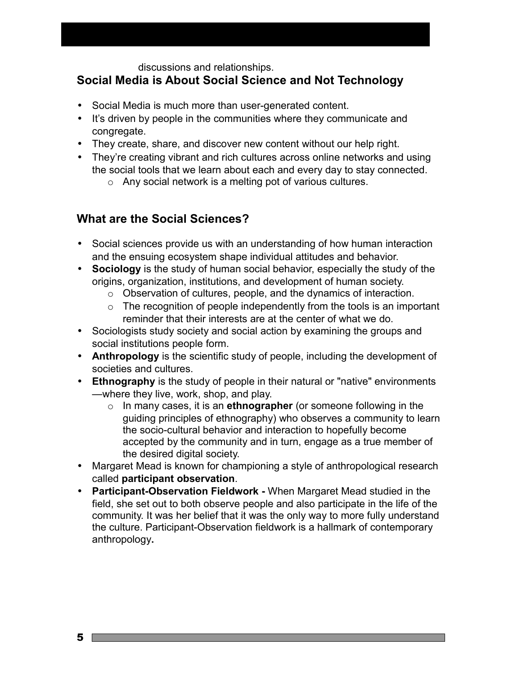#### discussions and relationships.

## **Social Media is About Social Science and Not Technology**

- Social Media is much more than user-generated content.
- It's driven by people in the communities where they communicate and congregate.
- They create, share, and discover new content without our help right.
- They're creating vibrant and rich cultures across online networks and using the social tools that we learn about each and every day to stay connected.
	- o Any social network is a melting pot of various cultures.

#### **What are the Social Sciences?**

- Social sciences provide us with an understanding of how human interaction and the ensuing ecosystem shape individual attitudes and behavior.
- **Sociology** is the study of human social behavior, especially the study of the origins, organization, institutions, and development of human society.
	- o Observation of cultures, people, and the dynamics of interaction.
	- $\circ$  The recognition of people independently from the tools is an important reminder that their interests are at the center of what we do.
- Sociologists study society and social action by examining the groups and social institutions people form.
- **Anthropology** is the scientific study of people, including the development of societies and cultures.
- **Ethnography** is the study of people in their natural or "native" environments —where they live, work, shop, and play.
	- o In many cases, it is an **ethnographer** (or someone following in the guiding principles of ethnography) who observes a community to learn the socio-cultural behavior and interaction to hopefully become accepted by the community and in turn, engage as a true member of the desired digital society.
- Margaret Mead is known for championing a style of anthropological research called **participant observation**.
- **Participant-Observation Fieldwork** When Margaret Mead studied in the field, she set out to both observe people and also participate in the life of the community. It was her belief that it was the only way to more fully understand the culture. Participant-Observation fieldwork is a hallmark of contemporary anthropology**.**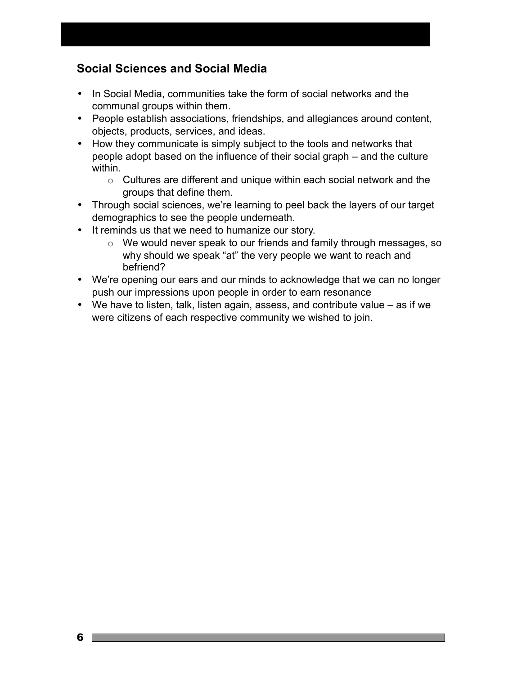## **Social Sciences and Social Media**

- In Social Media, communities take the form of social networks and the communal groups within them.
- People establish associations, friendships, and allegiances around content, objects, products, services, and ideas.
- How they communicate is simply subject to the tools and networks that people adopt based on the influence of their social graph – and the culture within.
	- o Cultures are different and unique within each social network and the groups that define them.
- Through social sciences, we're learning to peel back the layers of our target demographics to see the people underneath.
- It reminds us that we need to humanize our story.
	- o We would never speak to our friends and family through messages, so why should we speak "at" the very people we want to reach and befriend?
- We're opening our ears and our minds to acknowledge that we can no longer push our impressions upon people in order to earn resonance
- We have to listen, talk, listen again, assess, and contribute value as if we were citizens of each respective community we wished to join.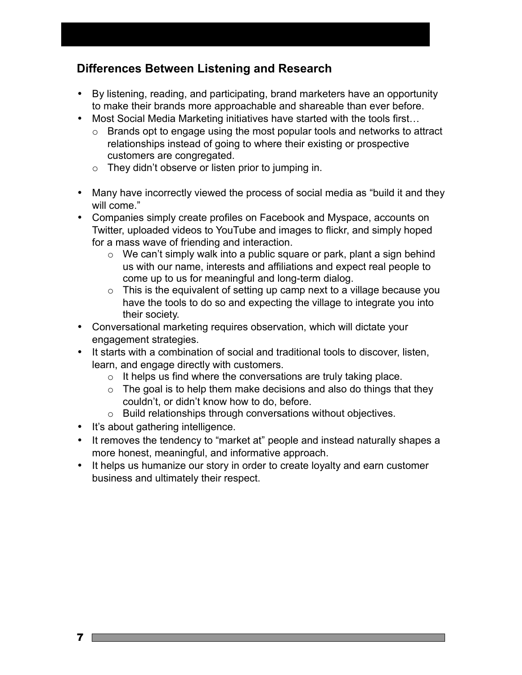## **Differences Between Listening and Research**

- By listening, reading, and participating, brand marketers have an opportunity to make their brands more approachable and shareable than ever before.
- Most Social Media Marketing initiatives have started with the tools first…
	- o Brands opt to engage using the most popular tools and networks to attract relationships instead of going to where their existing or prospective customers are congregated.
	- $\circ$  They didn't observe or listen prior to jumping in.
- Many have incorrectly viewed the process of social media as "build it and they will come."
- Companies simply create profiles on Facebook and Myspace, accounts on Twitter, uploaded videos to YouTube and images to flickr, and simply hoped for a mass wave of friending and interaction.
	- $\circ$  We can't simply walk into a public square or park, plant a sign behind us with our name, interests and affiliations and expect real people to come up to us for meaningful and long-term dialog.
	- $\circ$  This is the equivalent of setting up camp next to a village because you have the tools to do so and expecting the village to integrate you into their society.
- Conversational marketing requires observation, which will dictate your engagement strategies.
- It starts with a combination of social and traditional tools to discover, listen, learn, and engage directly with customers.
	- $\circ$  It helps us find where the conversations are truly taking place.
	- $\circ$  The goal is to help them make decisions and also do things that they couldn't, or didn't know how to do, before.
	- o Build relationships through conversations without objectives.
- It's about gathering intelligence.
- It removes the tendency to "market at" people and instead naturally shapes a more honest, meaningful, and informative approach.
- It helps us humanize our story in order to create loyalty and earn customer business and ultimately their respect.

7 **F**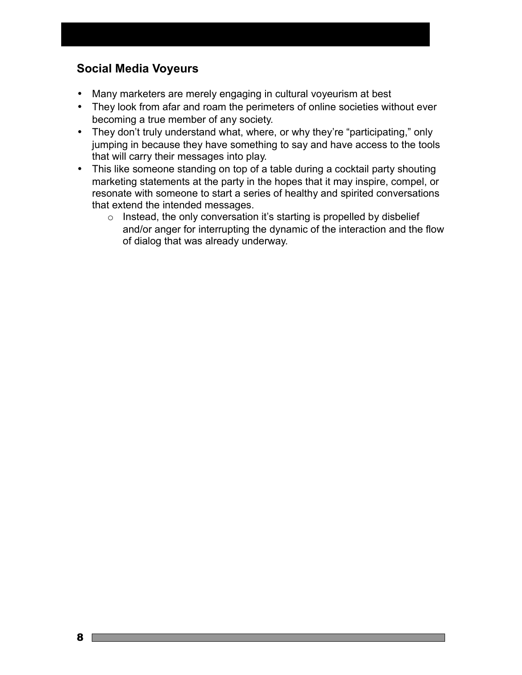## **Social Media Voyeurs**

- Many marketers are merely engaging in cultural voyeurism at best
- They look from afar and roam the perimeters of online societies without ever becoming a true member of any society.
- They don't truly understand what, where, or why they're "participating," only jumping in because they have something to say and have access to the tools that will carry their messages into play.
- This like someone standing on top of a table during a cocktail party shouting marketing statements at the party in the hopes that it may inspire, compel, or resonate with someone to start a series of healthy and spirited conversations that extend the intended messages.
	- $\circ$  Instead, the only conversation it's starting is propelled by disbelief and/or anger for interrupting the dynamic of the interaction and the flow of dialog that was already underway.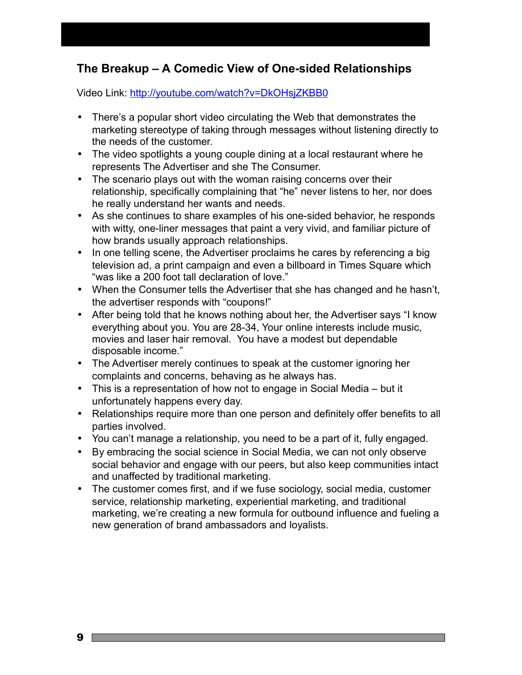## **The Breakup – A Comedic View of One-sided Relationships**

Video Link:<http://youtube.com/watch?v=DkOHsjZKBB0>

- There's a popular short video circulating the Web that demonstrates the marketing stereotype of taking through messages without listening directly to the needs of the customer.
- The video spotlights a young couple dining at a local restaurant where he represents The Advertiser and she The Consumer.
- The scenario plays out with the woman raising concerns over their relationship, specifically complaining that "he" never listens to her, nor does he really understand her wants and needs.
- As she continues to share examples of his one-sided behavior, he responds with witty, one-liner messages that paint a very vivid, and familiar picture of how brands usually approach relationships.
- In one telling scene, the Advertiser proclaims he cares by referencing a big television ad, a print campaign and even a billboard in Times Square which "was like a 200 foot tall declaration of love."
- When the Consumer tells the Advertiser that she has changed and he hasn't, the advertiser responds with "coupons!"
- After being told that he knows nothing about her, the Advertiser says "I know everything about you. You are 28-34, Your online interests include music, movies and laser hair removal. You have a modest but dependable disposable income."
- The Advertiser merely continues to speak at the customer ignoring her complaints and concerns, behaving as he always has.
- This is a representation of how not to engage in Social Media but it unfortunately happens every day.
- Relationships require more than one person and definitely offer benefits to all parties involved.
- You can't manage a relationship, you need to be a part of it, fully engaged.
- By embracing the social science in Social Media, we can not only observe social behavior and engage with our peers, but also keep communities intact and unaffected by traditional marketing.
- The customer comes first, and if we fuse sociology, social media, customer service, relationship marketing, experiential marketing, and traditional marketing, we're creating a new formula for outbound influence and fueling a new generation of brand ambassadors and loyalists.

9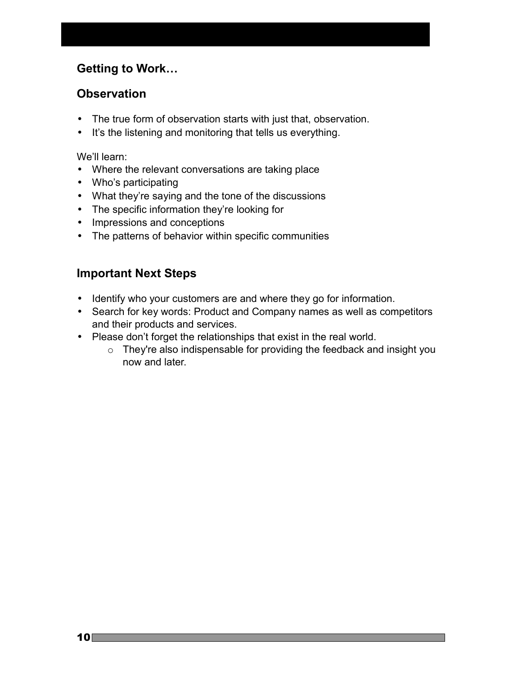## **Getting to Work…**

## **Observation**

- The true form of observation starts with just that, observation.
- It's the listening and monitoring that tells us everything.

We'll learn:

- Where the relevant conversations are taking place
- Who's participating
- What they're saying and the tone of the discussions
- The specific information they're looking for
- Impressions and conceptions
- The patterns of behavior within specific communities

## **Important Next Steps**

- Identify who your customers are and where they go for information.
- Search for key words: Product and Company names as well as competitors and their products and services.
- Please don't forget the relationships that exist in the real world.
	- o They're also indispensable for providing the feedback and insight you now and later.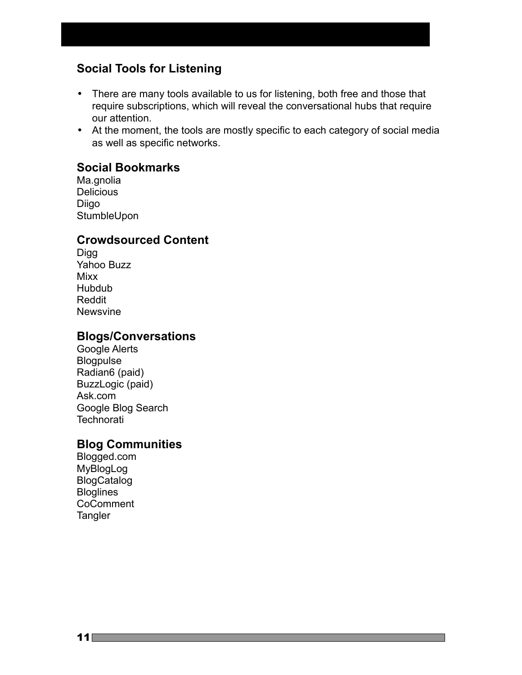## **Social Tools for Listening**

- There are many tools available to us for listening, both free and those that require subscriptions, which will reveal the conversational hubs that require our attention.
- At the moment, the tools are mostly specific to each category of social media as well as specific networks.

#### **Social Bookmarks**

Ma.gnolia **Delicious** Diigo **StumbleUpon** 

#### **Crowdsourced Content**

Digg Yahoo Buzz Mixx Hubdub Reddit Newsvine

#### **Blogs/Conversations**

Google Alerts Blogpulse Radian6 (paid) BuzzLogic (paid) Ask.com Google Blog Search **Technorati** 

#### **Blog Communities**

Blogged.com MyBlogLog BlogCatalog **Bloglines** CoComment **Tangler**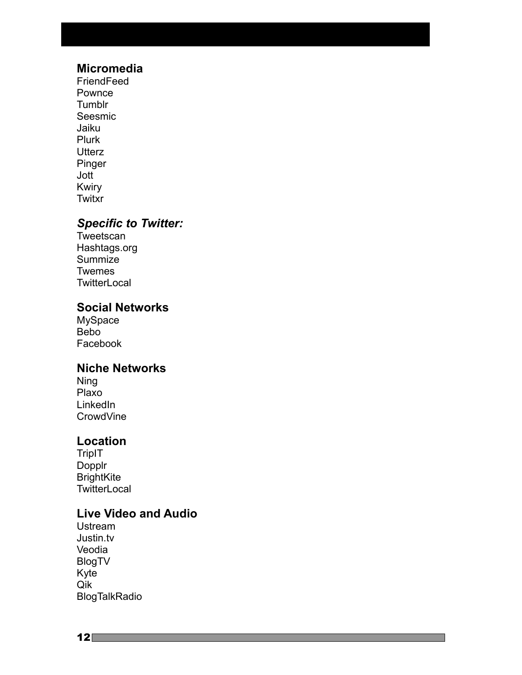#### **Micromedia**

**FriendFeed** Pownce **Tumblr** Seesmic Jaiku Plurk **Utterz** Pinger Jott Kwiry **Twitxr** 

#### *Specific to Twitter:*

**Tweetscan** Hashtags.org Summize Twemes **TwitterLocal** 

#### **Social Networks**

MySpace Bebo Facebook

#### **Niche Networks**

Ning Plaxo **LinkedIn** CrowdVine

## **Location**

**TripIT** Dopplr **BrightKite TwitterLocal** 

## **Live Video and Audio**

Ustream Justin.tv Veodia BlogTV Kyte Qik BlogTalkRadio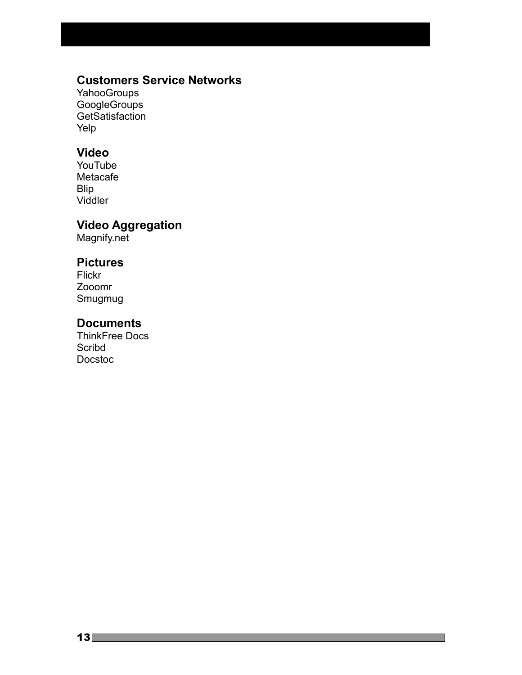## **Customers Service Networks**

**YahooGroups** GoogleGroups GetSatisfaction Yelp

## **Video**

YouTube Metacafe Blip Viddler

## **Video Aggregation**

Magnify.net

#### **Pictures**

Flickr Zooomr Smugmug

#### **Documents**

ThinkFree Docs **Scribd** Docstoc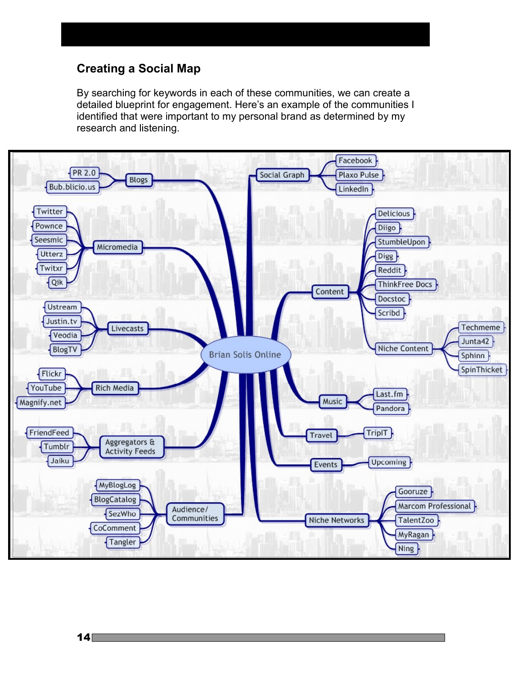#### **Creating a Social Map**

By searching for keywords in each of these communities, we can create a detailed blueprint for engagement. Here's an example of the communities I identified that were important to my personal brand as determined by my research and listening.

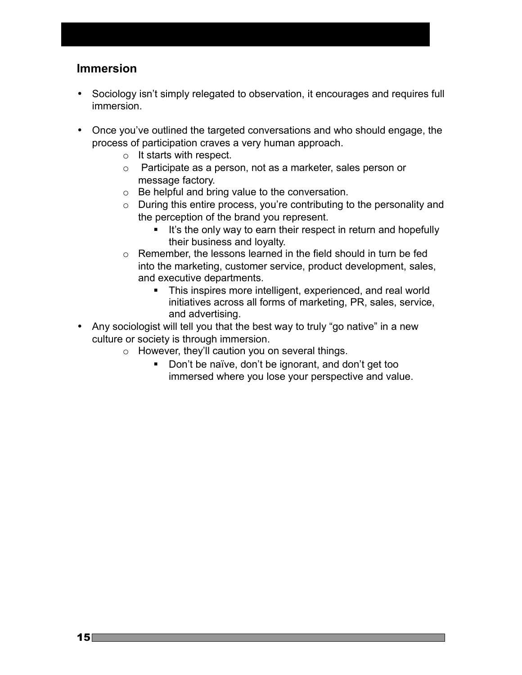#### **Immersion**

- Sociology isn't simply relegated to observation, it encourages and requires full immersion.
- Once you've outlined the targeted conversations and who should engage, the process of participation craves a very human approach.
	- o It starts with respect.
	- o Participate as a person, not as a marketer, sales person or message factory.
	- o Be helpful and bring value to the conversation.
	- o During this entire process, you're contributing to the personality and the perception of the brand you represent.
		- It's the only way to earn their respect in return and hopefully their business and loyalty.
	- o Remember, the lessons learned in the field should in turn be fed into the marketing, customer service, product development, sales, and executive departments.
		- **This inspires more intelligent, experienced, and real world** initiatives across all forms of marketing, PR, sales, service, and advertising.
- Any sociologist will tell you that the best way to truly "go native" in a new culture or society is through immersion.
	- o However, they'll caution you on several things.
		- Don't be naïve, don't be ignorant, and don't get too immersed where you lose your perspective and value.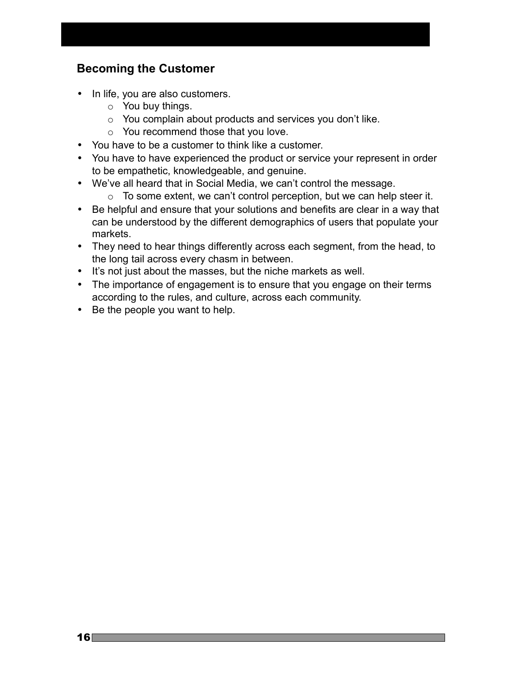## **Becoming the Customer**

- In life, you are also customers.
	- o You buy things.
	- o You complain about products and services you don't like.
	- o You recommend those that you love.
- You have to be a customer to think like a customer.
- You have to have experienced the product or service your represent in order to be empathetic, knowledgeable, and genuine.
- We've all heard that in Social Media, we can't control the message.
	- o To some extent, we can't control perception, but we can help steer it.
- Be helpful and ensure that your solutions and benefits are clear in a way that can be understood by the different demographics of users that populate your markets.
- They need to hear things differently across each segment, from the head, to the long tail across every chasm in between.
- It's not just about the masses, but the niche markets as well.
- The importance of engagement is to ensure that you engage on their terms according to the rules, and culture, across each community.
- Be the people you want to help.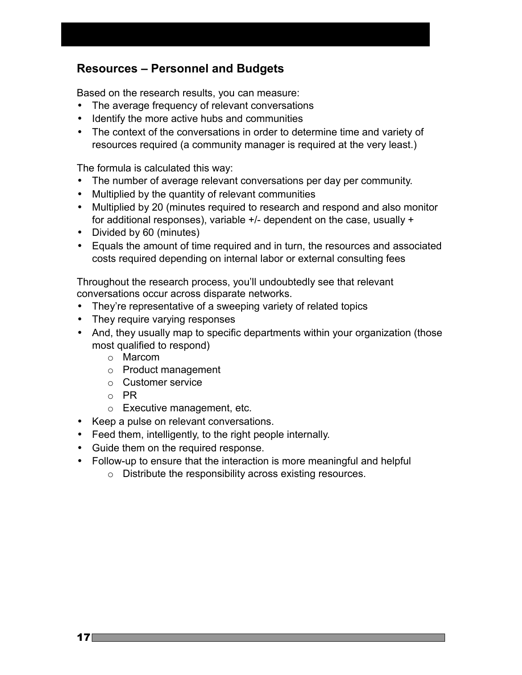## **Resources – Personnel and Budgets**

Based on the research results, you can measure:

- The average frequency of relevant conversations
- Identify the more active hubs and communities
- The context of the conversations in order to determine time and variety of resources required (a community manager is required at the very least.)

The formula is calculated this way:

- The number of average relevant conversations per day per community.
- Multiplied by the quantity of relevant communities
- Multiplied by 20 (minutes required to research and respond and also monitor for additional responses), variable +/- dependent on the case, usually +
- Divided by 60 (minutes)
- Equals the amount of time required and in turn, the resources and associated costs required depending on internal labor or external consulting fees

Throughout the research process, you'll undoubtedly see that relevant conversations occur across disparate networks.

- They're representative of a sweeping variety of related topics
- They require varying responses
- And, they usually map to specific departments within your organization (those most qualified to respond)
	- o Marcom
	- o Product management
	- o Customer service
	- o PR
	- o Executive management, etc.
- Keep a pulse on relevant conversations.
- Feed them, intelligently, to the right people internally.
- Guide them on the required response.
- Follow-up to ensure that the interaction is more meaningful and helpful
	- o Distribute the responsibility across existing resources.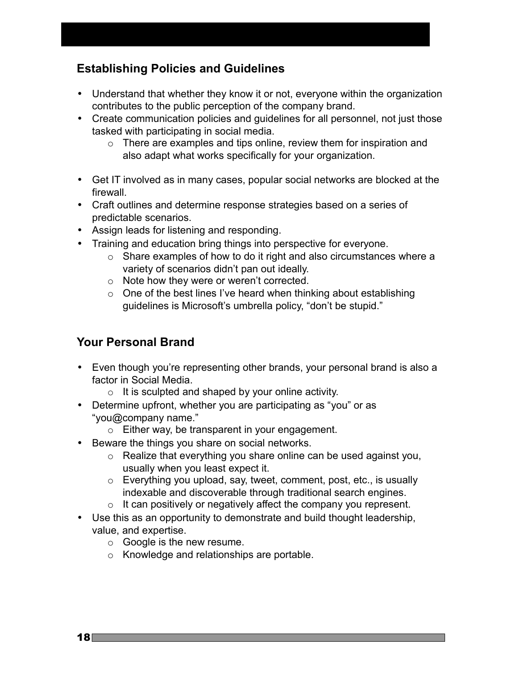## **Establishing Policies and Guidelines**

- Understand that whether they know it or not, everyone within the organization contributes to the public perception of the company brand.
- Create communication policies and guidelines for all personnel, not just those tasked with participating in social media.
	- $\circ$  There are examples and tips online, review them for inspiration and also adapt what works specifically for your organization.
- Get IT involved as in many cases, popular social networks are blocked at the firewall.
- Craft outlines and determine response strategies based on a series of predictable scenarios.
- Assign leads for listening and responding.
- Training and education bring things into perspective for everyone.
	- o Share examples of how to do it right and also circumstances where a variety of scenarios didn't pan out ideally.
	- o Note how they were or weren't corrected.
	- $\circ$  One of the best lines I've heard when thinking about establishing guidelines is Microsoft's umbrella policy, "don't be stupid."

## **Your Personal Brand**

- Even though you're representing other brands, your personal brand is also a factor in Social Media.
	- $\circ$  It is sculpted and shaped by your online activity.
- Determine upfront, whether you are participating as "you" or as "you@company name."
	- o Either way, be transparent in your engagement.
- Beware the things you share on social networks.
	- o Realize that everything you share online can be used against you, usually when you least expect it.
	- o Everything you upload, say, tweet, comment, post, etc., is usually indexable and discoverable through traditional search engines.
	- $\circ$  It can positively or negatively affect the company you represent.
- Use this as an opportunity to demonstrate and build thought leadership, value, and expertise.
	- o Google is the new resume.
	- o Knowledge and relationships are portable.

 $18$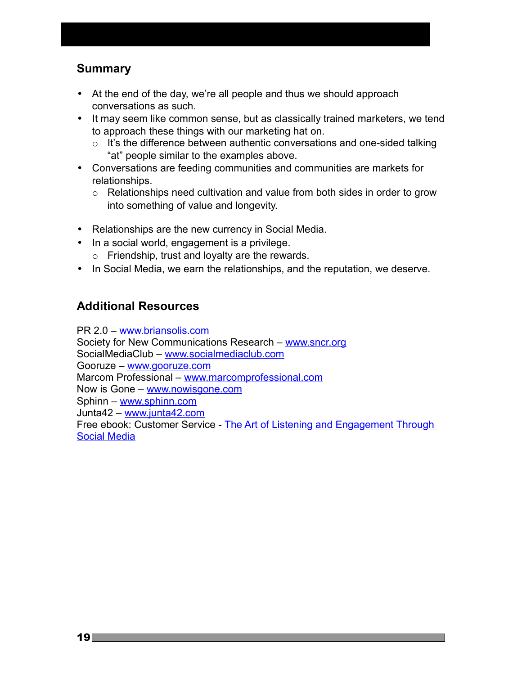## **Summary**

- At the end of the day, we're all people and thus we should approach conversations as such.
- It may seem like common sense, but as classically trained marketers, we tend to approach these things with our marketing hat on.
	- $\circ$  It's the difference between authentic conversations and one-sided talking "at" people similar to the examples above.
- Conversations are feeding communities and communities are markets for relationships.
	- o Relationships need cultivation and value from both sides in order to grow into something of value and longevity.
- Relationships are the new currency in Social Media.
- In a social world, engagement is a privilege.
	- o Friendship, trust and loyalty are the rewards.
- In Social Media, we earn the relationships, and the reputation, we deserve.

## **Additional Resources**

PR 2.0 – [www.briansolis.com](http://www.briansolis.com/) Society for New Communications Research – [www.sncr.org](http://www.sncr.org/) SocialMediaClub – [www.socialmediaclub.com](http://www.socialmediaclub.com/) Gooruze – [www.gooruze.com](http://www.gooruze.com/) Marcom Professional - [www.marcomprofessional.com](http://www.marcomprofessional.com/) Now is Gone – [www.nowisgone.com](http://www.nowisgone.com/) Sphinn – [www.sphinn.com](http://www.sphinn.com/) Junta42 – [www.junta42.com](http://www.junta42.com/) Free ebook: Customer Service - [The Art of Listening and Engagement Through](http://www.briansolis.com/2008/03/new-ebook-customer-service-art-of.html) [Social Media](http://www.briansolis.com/2008/03/new-ebook-customer-service-art-of.html)